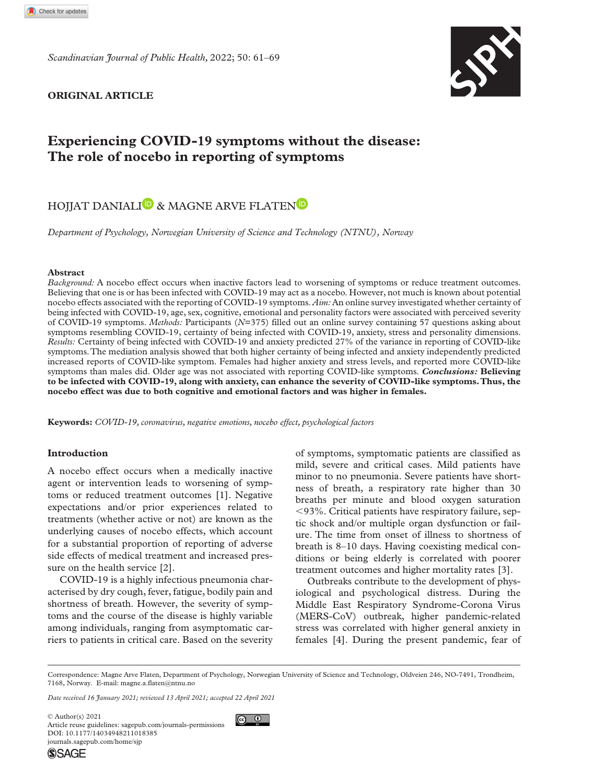*Scandinavian Journal of Public Health,* 2022; 50: 61–69



## **Original Article**

# **Experiencing COVID-19 symptoms without the disease: The role of nocebo in reporting of symptoms**

## HOJJAT DANIALI<sup>D</sup> & MAGNE ARVE FLATEN<sup>D</sup>

*Department of Psychology, Norwegian University of Science and Technology (NTNU), Norway*

## **Abstract**

*Background:* A nocebo effect occurs when inactive factors lead to worsening of symptoms or reduce treatment outcomes. Believing that one is or has been infected with COVID-19 may act as a nocebo. However, not much is known about potential nocebo effects associated with the reporting of COVID-19 symptoms. *Aim:* An online survey investigated whether certainty of being infected with COVID-19, age, sex, cognitive, emotional and personality factors were associated with perceived severity of COVID-19 symptoms. *Methods:* Participants (*N*=375) filled out an online survey containing 57 questions asking about symptoms resembling COVID-19, certainty of being infected with COVID-19, anxiety, stress and personality dimensions. *Results:* Certainty of being infected with COVID-19 and anxiety predicted 27% of the variance in reporting of COVID-like symptoms. The mediation analysis showed that both higher certainty of being infected and anxiety independently predicted increased reports of COVID-like symptom. Females had higher anxiety and stress levels, and reported more COVID-like symptoms than males did. Older age was not associated with reporting COVID-like symptoms. *Conclusions:* **Believing to be infected with COVID-19, along with anxiety, can enhance the severity of COVID-like symptoms. Thus, the nocebo effect was due to both cognitive and emotional factors and was higher in females.**

**Keywords:** *COVID-19, coronavirus, negative emotions, nocebo effect, psychological factors*

## **Introduction**

A nocebo effect occurs when a medically inactive agent or intervention leads to worsening of symptoms or reduced treatment outcomes [1]. Negative expectations and/or prior experiences related to treatments (whether active or not) are known as the underlying causes of nocebo effects, which account for a substantial proportion of reporting of adverse side effects of medical treatment and increased pressure on the health service [2].

COVID-19 is a highly infectious pneumonia characterised by dry cough, fever, fatigue, bodily pain and shortness of breath. However, the severity of symptoms and the course of the disease is highly variable among individuals, ranging from asymptomatic carriers to patients in critical care. Based on the severity

of symptoms, symptomatic patients are classified as mild, severe and critical cases. Mild patients have minor to no pneumonia. Severe patients have shortness of breath, a respiratory rate higher than 30 breaths per minute and blood oxygen saturation <93%. Critical patients have respiratory failure, septic shock and/or multiple organ dysfunction or failure. The time from onset of illness to shortness of breath is 8–10 days. Having coexisting medical conditions or being elderly is correlated with poorer treatment outcomes and higher mortality rates [3].

Outbreaks contribute to the development of physiological and psychological distress. During the Middle East Respiratory Syndrome-Corona Virus (MERS-CoV) outbreak, higher pandemic-related stress was correlated with higher general anxiety in females [4]. During the present pandemic, fear of

Correspondence: Magne Arve Flaten, Department of Psychology, Norwegian University of Science and Technology, Oldveien 246, NO-7491, Trondheim, 7168, Norway. E-mail: [magne.a.flaten@ntnu.no](mailto:magne.a.flaten@ntnu.no)

 $\bigcirc$   $\bigcirc$ 

*Date received 16 January 2021; reviewed 13 April 2021; accepted 22 April 2021*

DOI: 10.1177/14034948211018385 © Author(s) 2021 Article reuse guidelines: [sagepub.com/journals-permissions](https://uk.sagepub.com/en-gb/journals-permissions) [journals.sagepub.com/home/sjp](https://journals.sagepub.com/home/sjp)

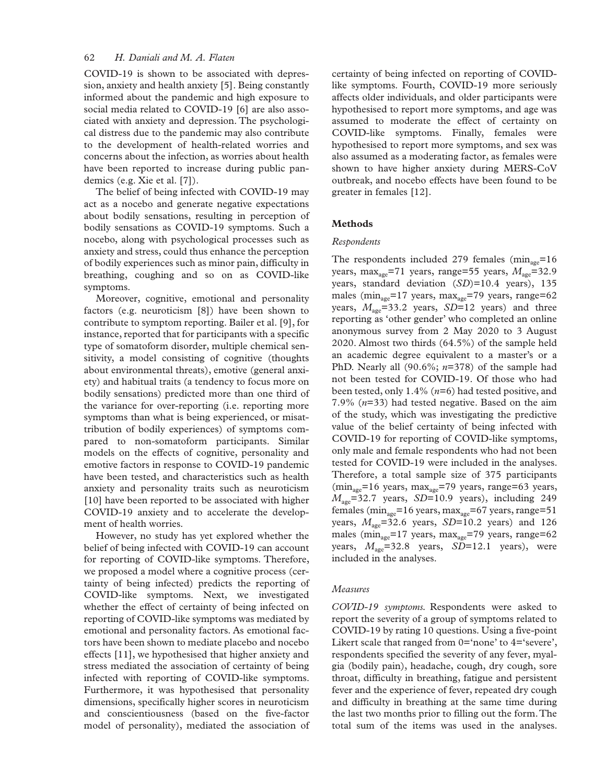## 62 *H. Daniali and M. A. Flaten*

COVID-19 is shown to be associated with depression, anxiety and health anxiety [5]. Being constantly informed about the pandemic and high exposure to social media related to COVID-19 [6] are also associated with anxiety and depression. The psychological distress due to the pandemic may also contribute to the development of health-related worries and concerns about the infection, as worries about health have been reported to increase during public pandemics (e.g. Xie et al. [7]).

The belief of being infected with COVID-19 may act as a nocebo and generate negative expectations about bodily sensations, resulting in perception of bodily sensations as COVID-19 symptoms. Such a nocebo, along with psychological processes such as anxiety and stress, could thus enhance the perception of bodily experiences such as minor pain, difficulty in breathing, coughing and so on as COVID-like symptoms.

Moreover, cognitive, emotional and personality factors (e.g. neuroticism [8]) have been shown to contribute to symptom reporting. Bailer et al. [9], for instance, reported that for participants with a specific type of somatoform disorder, multiple chemical sensitivity, a model consisting of cognitive (thoughts about environmental threats), emotive (general anxiety) and habitual traits (a tendency to focus more on bodily sensations) predicted more than one third of the variance for over-reporting (i.e. reporting more symptoms than what is being experienced, or misattribution of bodily experiences) of symptoms compared to non-somatoform participants. Similar models on the effects of cognitive, personality and emotive factors in response to COVID-19 pandemic have been tested, and characteristics such as health anxiety and personality traits such as neuroticism [10] have been reported to be associated with higher COVID-19 anxiety and to accelerate the development of health worries.

However, no study has yet explored whether the belief of being infected with COVID-19 can account for reporting of COVID-like symptoms. Therefore, we proposed a model where a cognitive process (certainty of being infected) predicts the reporting of COVID-like symptoms. Next, we investigated whether the effect of certainty of being infected on reporting of COVID-like symptoms was mediated by emotional and personality factors. As emotional factors have been shown to mediate placebo and nocebo effects [11], we hypothesised that higher anxiety and stress mediated the association of certainty of being infected with reporting of COVID-like symptoms. Furthermore, it was hypothesised that personality dimensions, specifically higher scores in neuroticism and conscientiousness (based on the five-factor model of personality), mediated the association of

certainty of being infected on reporting of COVIDlike symptoms. Fourth, COVID-19 more seriously affects older individuals, and older participants were hypothesised to report more symptoms, and age was assumed to moderate the effect of certainty on COVID-like symptoms. Finally, females were hypothesised to report more symptoms, and sex was also assumed as a moderating factor, as females were shown to have higher anxiety during MERS-CoV outbreak, and nocebo effects have been found to be greater in females [12].

## **Methods**

#### *Respondents*

The respondents included 279 females  $(min_{\text{age}}=16$ years, max<sub>age</sub>=71 years, range=55 years,  $M_{\text{age}}$ =32.9 years, standard deviation (*SD*)=10.4 years), 135 males ( $\min_{\text{age}}$ =17 years,  $\max_{\text{age}}$ =79 years, range=62 years,  $M_{\text{see}}$ =33.2 years, *SD*=12 years) and three reporting as 'other gender' who completed an online anonymous survey from 2 May 2020 to 3 August 2020. Almost two thirds (64.5%) of the sample held an academic degree equivalent to a master's or a PhD. Nearly all (90.6%; *n*=378) of the sample had not been tested for COVID-19. Of those who had been tested, only 1.4% (*n*=6) had tested positive, and 7.9% (*n*=33) had tested negative. Based on the aim of the study, which was investigating the predictive value of the belief certainty of being infected with COVID-19 for reporting of COVID-like symptoms, only male and female respondents who had not been tested for COVID-19 were included in the analyses. Therefore, a total sample size of 375 participants  $(\text{min}_{\text{age}}=16 \text{ years}, \text{max}_{\text{age}}=79 \text{ years}, \text{range}=63 \text{ years},$ *M*<sub>age</sub>=32.7 years, *SD*=10.9 years), including 249 females ( $min_{\text{age}}$ =16 years,  $max_{\text{age}}$ =67 years, range=51 years,  $M_{\text{age}}$ =32.6 years, *SD*=10.2 years) and 126 males ( $min_{\text{age}}$ =17 years,  $max_{\text{age}}$ =79 years, range=62 years,  $M_{\text{age}} = 32.8$  years,  $SD = 12.1$  years), were included in the analyses.

## *Measures*

*COVID-19 symptoms.* Respondents were asked to report the severity of a group of symptoms related to COVID-19 by rating 10 questions. Using a five-point Likert scale that ranged from  $0=$  none' to  $4=$  severe', respondents specified the severity of any fever, myalgia (bodily pain), headache, cough, dry cough, sore throat, difficulty in breathing, fatigue and persistent fever and the experience of fever, repeated dry cough and difficulty in breathing at the same time during the last two months prior to filling out the form. The total sum of the items was used in the analyses.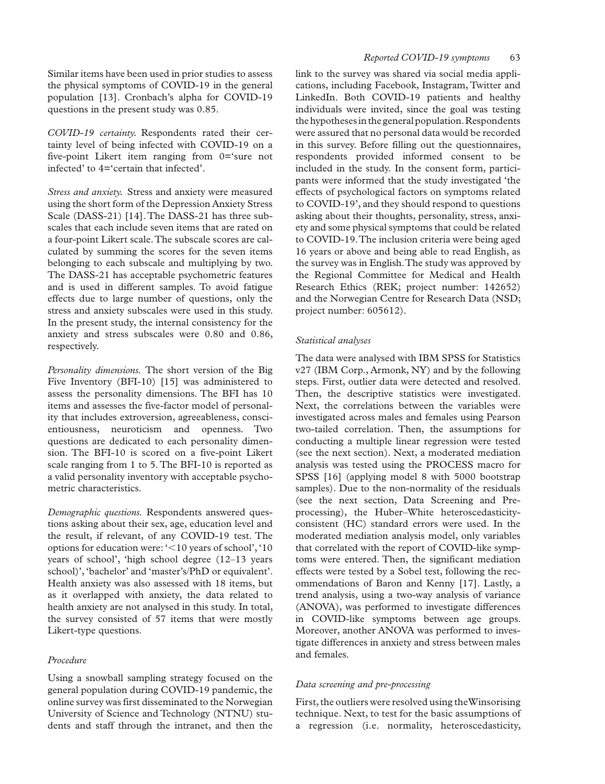Similar items have been used in prior studies to assess the physical symptoms of COVID-19 in the general population [13]. Cronbach's alpha for COVID-19 questions in the present study was 0.85.

*COVID-19 certainty.* Respondents rated their certainty level of being infected with COVID-19 on a five-point Likert item ranging from 0='sure not infected' to 4='certain that infected'.

*Stress and anxiety.* Stress and anxiety were measured using the short form of the Depression Anxiety Stress Scale (DASS-21) [14]. The DASS-21 has three subscales that each include seven items that are rated on a four-point Likert scale. The subscale scores are calculated by summing the scores for the seven items belonging to each subscale and multiplying by two. The DASS-21 has acceptable psychometric features and is used in different samples. To avoid fatigue effects due to large number of questions, only the stress and anxiety subscales were used in this study. In the present study, the internal consistency for the anxiety and stress subscales were 0.80 and 0.86, respectively.

*Personality dimensions.* The short version of the Big Five Inventory (BFI-10) [15] was administered to assess the personality dimensions. The BFI has 10 items and assesses the five-factor model of personality that includes extroversion, agreeableness, conscientiousness, neuroticism and openness. Two questions are dedicated to each personality dimension. The BFI-10 is scored on a five-point Likert scale ranging from 1 to 5. The BFI-10 is reported as a valid personality inventory with acceptable psychometric characteristics.

*Demographic questions.* Respondents answered questions asking about their sex, age, education level and the result, if relevant, of any COVID-19 test. The options for education were: '<10 years of school', '10 years of school', 'high school degree (12–13 years school)', 'bachelor' and 'master's/PhD or equivalent'. Health anxiety was also assessed with 18 items, but as it overlapped with anxiety, the data related to health anxiety are not analysed in this study. In total, the survey consisted of 57 items that were mostly Likert-type questions.

## *Procedure*

Using a snowball sampling strategy focused on the general population during COVID-19 pandemic, the online survey was first disseminated to the Norwegian University of Science and Technology (NTNU) students and staff through the intranet, and then the link to the survey was shared via social media applications, including Facebook, Instagram, Twitter and LinkedIn. Both COVID-19 patients and healthy individuals were invited, since the goal was testing the hypotheses in the general population. Respondents were assured that no personal data would be recorded in this survey. Before filling out the questionnaires, respondents provided informed consent to be included in the study. In the consent form, participants were informed that the study investigated 'the effects of psychological factors on symptoms related to COVID-19', and they should respond to questions asking about their thoughts, personality, stress, anxiety and some physical symptoms that could be related to COVID-19. The inclusion criteria were being aged 16 years or above and being able to read English, as the survey was in English. The study was approved by the Regional Committee for Medical and Health Research Ethics (REK; project number: 142652) and the Norwegian Centre for Research Data (NSD; project number: 605612).

## *Statistical analyses*

The data were analysed with IBM SPSS for Statistics v27 (IBM Corp., Armonk, NY) and by the following steps. First, outlier data were detected and resolved. Then, the descriptive statistics were investigated. Next, the correlations between the variables were investigated across males and females using Pearson two-tailed correlation. Then, the assumptions for conducting a multiple linear regression were tested (see the next section). Next, a moderated mediation analysis was tested using the PROCESS macro for SPSS [16] (applying model 8 with 5000 bootstrap samples). Due to the non-normality of the residuals (see the next section, Data Screening and Preprocessing), the Huber–White heteroscedasticityconsistent (HC) standard errors were used. In the moderated mediation analysis model, only variables that correlated with the report of COVID-like symptoms were entered. Then, the significant mediation effects were tested by a Sobel test, following the recommendations of Baron and Kenny [17]. Lastly, a trend analysis, using a two-way analysis of variance (ANOVA), was performed to investigate differences in COVID-like symptoms between age groups. Moreover, another ANOVA was performed to investigate differences in anxiety and stress between males and females.

## *Data screening and pre-processing*

First, the outliers were resolved using the Winsorising technique. Next, to test for the basic assumptions of a regression (i.e. normality, heteroscedasticity,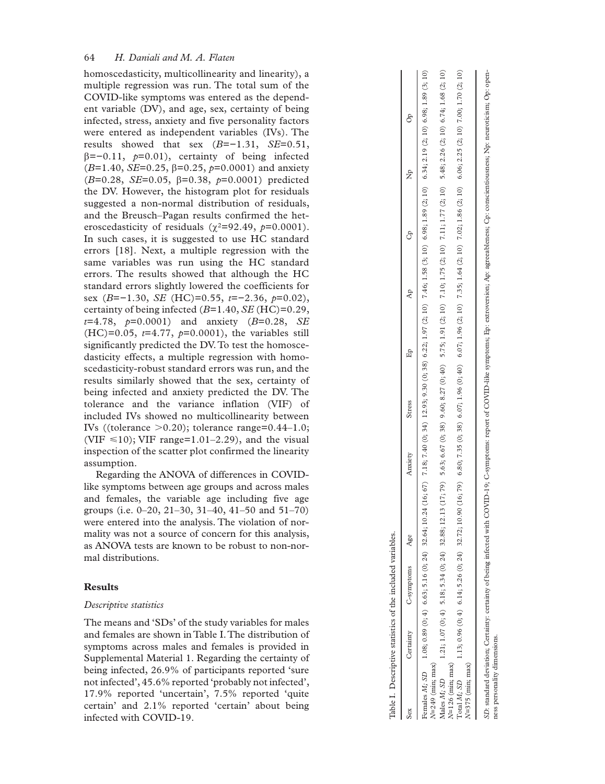homoscedasticity, multicollinearity and linearity), a multiple regression was run. The total sum of the COVID-like symptoms was entered as the depend ent variable (DV), and age, sex, certainty of being infected, stress, anxiety and five personality factors were entered as independent variables (IVs). The results showed that sex  $(B=-1.31, SE=0.51,$ β=−0.11, *p*=0.01), certainty of being infected  $(B=1.40, SE=0.25, β=0.25, p=0.0001)$  and anxiety ( *B*=0.28, *SE*=0.05, β=0.38, *p*=0.0001) predicted the DV. However, the histogram plot for residuals suggested a non-normal distribution of residuals, and the Breusch–Pagan results confirmed the het eroscedasticity of residuals  $(\chi^2=92.49, p=0.0001)$ . In such cases, it is suggested to use HC standard errors [18]. Next, a multiple regression with the same variables was run using the HC standard errors. The results showed that although the HC standard errors slightly lowered the coefficients for sex ( *B*=−1.30, *SE* (HC)=0.55, *t*=−2.36, *p*=0.02), certainty of being infected ( *B*=1.40, *SE* (HC)=0.29, *t*=4.78, *p*=0.0001) and anxiety ( *B*=0.28, *SE*  $(HC)=0.05$ ,  $t=4.77$ ,  $p=0.0001$ ), the variables still significantly predicted the DV. To test the homosce dasticity effects, a multiple regression with homo scedasticity-robust standard errors was run, and the results similarly showed that the sex, certainty of being infected and anxiety predicted the DV. The tolerance and the variance inflation (VIF) of included IVs showed no multicollinearity between IVs ((tolerance >0.20); tolerance range=0.44–1.0; (VIF  $\leq 10$ ); VIF range=1.01–2.29), and the visual inspection of the scatter plot confirmed the linearity assumption.

Regarding the ANOVA of differences in COVIDlike symptoms between age groups and across males and females, the variable age including five age groups (i.e. 0–20, 21–30, 31–40, 41–50 and 51–70) were entered into the analysis. The violation of nor mality was not a source of concern for this analysis, as ANOVA tests are known to be robust to non-nor mal distributions.

## **Results**

#### *Descriptive statistics*

The means and 'SDs' of the study variables for males and females are shown in Table I. The distribution of symptoms across males and females is provided in Supplemental Material 1. Regarding the certainty of being infected, 26.9% of participants reported 'sure not infected', 45.6% reported 'probably not infected', 17.9% reported 'uncertain', 7.5% reported 'quite certain' and 2.1% reported 'certain' about being infected with COVID-19.

|                                   |           | Table I. Descriptive statistics of the included variables. |     |         |        |    |                                                                                                                                                                                                                               |
|-----------------------------------|-----------|------------------------------------------------------------|-----|---------|--------|----|-------------------------------------------------------------------------------------------------------------------------------------------------------------------------------------------------------------------------------|
| Sex                               | Certainty | C-symptoms                                                 | Age | Anxiety | Stress | Cp | $\rm ^{6}$<br>da<br>K                                                                                                                                                                                                         |
| $N=249$ (min; max)                |           |                                                            |     |         |        |    | Females M; SD 1.088 (0; 4) 6.63; 5.16 (0; 24) 32.64; 10.24 (16; 67) 7.18; 7.40 (0; 34) 12.93; 9.29 (3; 198 (2; 197 (2; 10) 7.46; 1.58 (3; 1.89 (3; 1.89 (3; 1.89 (3; 1.0) 6.34; 1.08; 1.89 (3; 10) 6.34; 2.19 (3; 10) 6.98; 1 |
| $N=126$ (min; max)<br>Males M; SD |           |                                                            |     |         |        |    | 1.21; 1.07 (0; 4) 5.18; 5.34 (0; 24) 32.88; 12.13 (17; 79) 5.63; 6.67 (0; 38) 9.60; 8.27 (0; 40) 5.75; 1.91 (2; 10) 7.10; 1.75 (2; 10) 7.11; 1.77 (2; 10) 5.48; 2.26 (2; 10) 6.74; 1.68 (2; 10)                               |
| $N=375$ (min; max)<br>Total M; SD |           |                                                            |     |         |        |    | 1.13; 0.96 (0; 4) 6.14; 5.26 (0; 324) 32.72; 10.90 (10; 70) 6.80; 7.35 (0; 38) 6.07; 1.96 (0; 40) 6.07; 1.96 (2; 10) 7.35; 1.64 (2; 10) 7.02; 1.86 (2; 10) 6.06; 2.25 (2; 10) 7.00; 1.70 (2; 10)                              |
|                                   |           |                                                            |     |         |        |    | SD: standard deviation; Certainty: certainty of being infected with COVID-19; C-symptoms: report of COVID-like symptoms; Ep: extroversion; Ap: agreeableness; Cp: conscientiousness; Np: neuroticism; Op: open-               |

ness personality dimensions.dimensions personality ness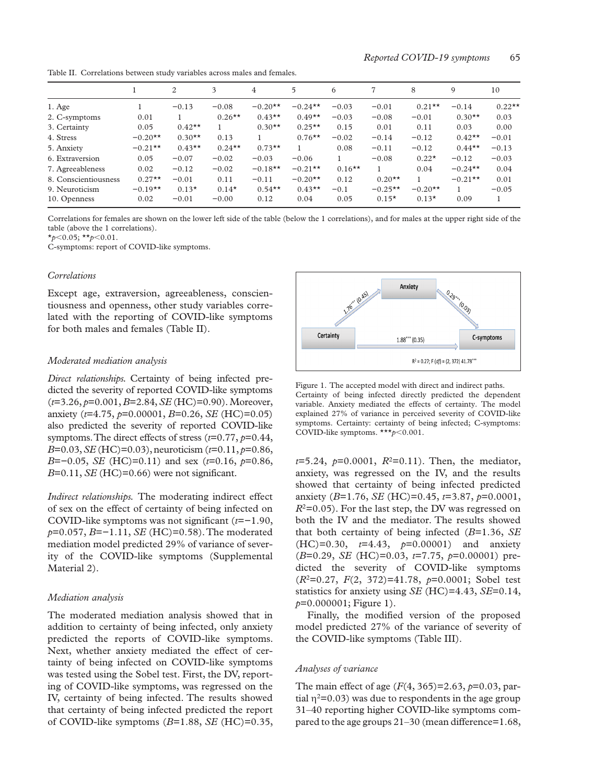Table II. Correlations between study variables across males and females.

|           | 2        | 3         | 4         | 5         | 6        |           | 8         | 9         | 10       |
|-----------|----------|-----------|-----------|-----------|----------|-----------|-----------|-----------|----------|
|           | $-0.13$  | $-0.08$   | $-0.20**$ | $-0.24**$ | $-0.03$  | $-0.01$   | $0.21**$  | $-0.14$   | $0.22**$ |
| 0.01      |          | $0.26**$  | $0.43**$  | $0.49**$  | $-0.03$  | $-0.08$   | $-0.01$   | $0.30**$  | 0.03     |
| 0.05      | $0.42**$ |           | $0.30**$  | $0.25**$  | 0.15     | 0.01      | 0.11      | 0.03      | 0.00     |
| $-0.20**$ | $0.30**$ | 0.13      |           | $0.76***$ | $-0.02$  | $-0.14$   | $-0.12$   | $0.42**$  | $-0.01$  |
| $-0.21**$ | $0.43**$ | $0.24***$ | $0.73**$  |           | 0.08     | $-0.11$   | $-0.12$   | $0.44**$  | $-0.13$  |
| 0.05      | $-0.07$  | $-0.02$   | $-0.03$   | $-0.06$   |          | $-0.08$   | $0.22*$   | $-0.12$   | $-0.03$  |
| 0.02      | $-0.12$  | $-0.02$   | $-0.18**$ | $-0.21**$ | $0.16**$ | 1         | 0.04      | $-0.24**$ | 0.04     |
| $0.27**$  | $-0.01$  | 0.11      | $-0.11$   | $-0.20**$ | 0.12     | $0.20**$  |           | $-0.21**$ | 0.01     |
| $-0.19**$ | $0.13*$  | $0.14*$   | $0.54***$ | $0.43**$  | $-0.1$   | $-0.25**$ | $-0.20**$ |           | $-0.05$  |
| 0.02      | $-0.01$  | $-0.00$   | 0.12      | 0.04      | 0.05     | $0.15*$   | $0.13*$   | 0.09      |          |
|           |          |           |           |           |          |           |           |           |          |

Correlations for females are shown on the lower left side of the table (below the 1 correlations), and for males at the upper right side of the table (above the 1 correlations).

\**p*<0.05; \*\**p*<0.01.

C-symptoms: report of COVID-like symptoms.

#### *Correlations*

Except age, extraversion, agreeableness, conscientiousness and openness, other study variables correlated with the reporting of COVID-like symptoms for both males and females (Table II).

## *Moderated mediation analysis*

*Direct relationships.* Certainty of being infected predicted the severity of reported COVID-like symptoms (*t*=3.26, *p*=0.001, *B*=2.84, *SE* (HC)=0.90). Moreover, anxiety (*t*=4.75, *p*=0.00001, *B*=0.26, *SE* (HC)=0.05) also predicted the severity of reported COVID-like symptoms. The direct effects of stress (*t*=0.77, *p*=0.44, *B*=0.03, *SE* (HC)=0.03), neuroticism (*t*=0.11, *p*=0.86, *B*=−0.05, *SE* (HC)=0.11) and sex (*t*=0.16, *p*=0.86,  $B=0.11$ , *SE* (HC)=0.66) were not significant.

*Indirect relationships.* The moderating indirect effect of sex on the effect of certainty of being infected on COVID-like symptoms was not significant (*t*=−1.90, *p*=0.057, *B*=−1.11, *SE* (HC)=0.58). The moderated mediation model predicted 29% of variance of severity of the COVID-like symptoms (Supplemental Material 2).

#### *Mediation analysis*

The moderated mediation analysis showed that in addition to certainty of being infected, only anxiety predicted the reports of COVID-like symptoms. Next, whether anxiety mediated the effect of certainty of being infected on COVID-like symptoms was tested using the Sobel test. First, the DV, reporting of COVID-like symptoms, was regressed on the IV, certainty of being infected. The results showed that certainty of being infected predicted the report of COVID-like symptoms (*B*=1.88, *SE* (HC)=0.35,



Figure 1. The accepted model with direct and indirect paths. Certainty of being infected directly predicted the dependent variable. Anxiety mediated the effects of certainty. The model explained 27% of variance in perceived severity of COVID-like symptoms. Certainty: certainty of being infected; C-symptoms: COVID-like symptoms. \*\*\**p*<0.001.

 $t=5.24$ ,  $p=0.0001$ ,  $R^2=0.11$ ). Then, the mediator, anxiety, was regressed on the IV, and the results showed that certainty of being infected predicted anxiety (*B*=1.76, *SE* (HC)=0.45, *t*=3.87, *p*=0.0001,  $R^2$ =0.05). For the last step, the DV was regressed on both the IV and the mediator. The results showed that both certainty of being infected (*B*=1.36, *SE* (HC)=0.30, *t*=4.43, *p*=0.00001) and anxiety (*B*=0.29, *SE* (HC)=0.03, *t*=7.75, *p*=0.00001) predicted the severity of COVID-like symptoms (*R*2=0.27, *F*(2, 372)=41.78, *p*=0.0001; Sobel test statistics for anxiety using *SE* (HC)=4.43, *SE*=0.14, *p*=0.000001; Figure 1).

Finally, the modified version of the proposed model predicted 27% of the variance of severity of the COVID-like symptoms (Table III).

#### *Analyses of variance*

The main effect of age (*F*(4, 365)=2.63, *p*=0.03, partial  $\eta^2$ =0.03) was due to respondents in the age group 31–40 reporting higher COVID-like symptoms compared to the age groups 21–30 (mean difference=1.68,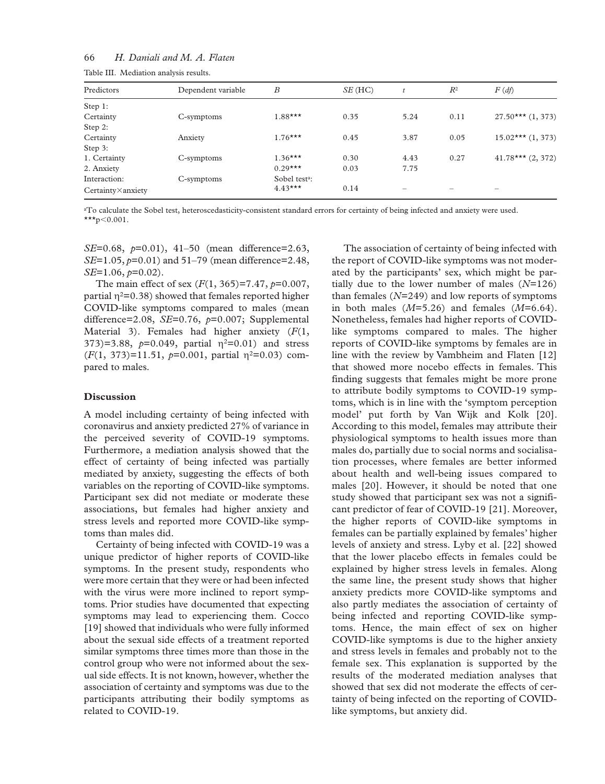## 66 *H. Daniali and M. A. Flaten*

| Predictors        | Dependent variable | $\boldsymbol{B}$          | SE(HC) | t    | $R^2$ | $F(d\hat{f})$         |
|-------------------|--------------------|---------------------------|--------|------|-------|-----------------------|
|                   |                    |                           |        |      |       |                       |
| Step 1:           |                    |                           |        |      |       |                       |
| Certainty         | C-symptoms         | $1.88***$                 | 0.35   | 5.24 | 0.11  | $27.50***$ $(1, 373)$ |
| Step 2:           |                    |                           |        |      |       |                       |
| Certainty         | Anxiety            | $1.76***$                 | 0.45   | 3.87 | 0.05  | $15.02***$ $(1, 373)$ |
| Step 3:           |                    |                           |        |      |       |                       |
| 1. Certainty      | C-symptoms         | $1.36***$                 | 0.30   | 4.43 | 0.27  | $41.78***$ $(2, 372)$ |
| 2. Anxiety        |                    | $0.29***$                 | 0.03   | 7.75 |       |                       |
| Interaction:      | C-symptoms         | Sobel test <sup>a</sup> : |        |      |       |                       |
| Certainty×anxiety |                    | $4.43***$                 | 0.14   |      |       |                       |

Table III. Mediation analysis results.

aTo calculate the Sobel test, heteroscedasticity-consistent standard errors for certainty of being infected and anxiety were used. \*\*\*p<0.001.

*SE*=0.68, *p*=0.01), 41–50 (mean difference=2.63, *SE*=1.05, *p*=0.01) and 51–79 (mean difference=2.48, *SE*=1.06, *p*=0.02).

The main effect of sex (*F*(1, 365)=7.47, *p*=0.007, partial  $\eta^2$ =0.38) showed that females reported higher COVID-like symptoms compared to males (mean difference=2.08, *SE*=0.76, *p*=0.007; Supplemental Material 3). Females had higher anxiety (*F*(1, 373)=3.88,  $p=0.049$ , partial  $\eta^2=0.01$ ) and stress  $(F(1, 373)=11.51, p=0.001,$  partial  $\eta^2=0.03$ ) compared to males.

#### **Discussion**

A model including certainty of being infected with coronavirus and anxiety predicted 27% of variance in the perceived severity of COVID-19 symptoms. Furthermore, a mediation analysis showed that the effect of certainty of being infected was partially mediated by anxiety, suggesting the effects of both variables on the reporting of COVID-like symptoms. Participant sex did not mediate or moderate these associations, but females had higher anxiety and stress levels and reported more COVID-like symptoms than males did.

Certainty of being infected with COVID-19 was a unique predictor of higher reports of COVID-like symptoms. In the present study, respondents who were more certain that they were or had been infected with the virus were more inclined to report symptoms. Prior studies have documented that expecting symptoms may lead to experiencing them. Cocco [19] showed that individuals who were fully informed about the sexual side effects of a treatment reported similar symptoms three times more than those in the control group who were not informed about the sexual side effects. It is not known, however, whether the association of certainty and symptoms was due to the participants attributing their bodily symptoms as related to COVID-19.

The association of certainty of being infected with the report of COVID-like symptoms was not moderated by the participants' sex, which might be partially due to the lower number of males (*N*=126) than females (*N*=249) and low reports of symptoms in both males  $(M=5.26)$  and females  $(M=6.64)$ . Nonetheless, females had higher reports of COVIDlike symptoms compared to males. The higher reports of COVID-like symptoms by females are in line with the review by Vambheim and Flaten [12] that showed more nocebo effects in females. This finding suggests that females might be more prone to attribute bodily symptoms to COVID-19 symptoms, which is in line with the 'symptom perception model' put forth by Van Wijk and Kolk [20]. According to this model, females may attribute their physiological symptoms to health issues more than males do, partially due to social norms and socialisation processes, where females are better informed about health and well-being issues compared to males [20]. However, it should be noted that one study showed that participant sex was not a significant predictor of fear of COVID-19 [21]. Moreover, the higher reports of COVID-like symptoms in females can be partially explained by females' higher levels of anxiety and stress. Lyby et al. [22] showed that the lower placebo effects in females could be explained by higher stress levels in females. Along the same line, the present study shows that higher anxiety predicts more COVID-like symptoms and also partly mediates the association of certainty of being infected and reporting COVID-like symptoms. Hence, the main effect of sex on higher COVID-like symptoms is due to the higher anxiety and stress levels in females and probably not to the female sex. This explanation is supported by the results of the moderated mediation analyses that showed that sex did not moderate the effects of certainty of being infected on the reporting of COVIDlike symptoms, but anxiety did.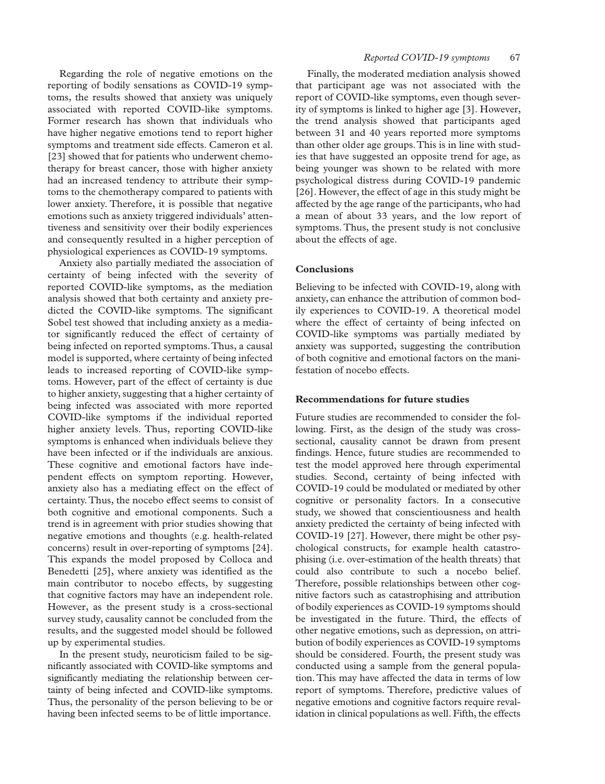Regarding the role of negative emotions on the reporting of bodily sensations as COVID-19 symptoms, the results showed that anxiety was uniquely associated with reported COVID-like symptoms. Former research has shown that individuals who have higher negative emotions tend to report higher symptoms and treatment side effects. Cameron et al. [23] showed that for patients who underwent chemotherapy for breast cancer, those with higher anxiety had an increased tendency to attribute their symptoms to the chemotherapy compared to patients with lower anxiety. Therefore, it is possible that negative emotions such as anxiety triggered individuals' attentiveness and sensitivity over their bodily experiences and consequently resulted in a higher perception of physiological experiences as COVID-19 symptoms.

Anxiety also partially mediated the association of certainty of being infected with the severity of reported COVID-like symptoms, as the mediation analysis showed that both certainty and anxiety predicted the COVID-like symptoms. The significant Sobel test showed that including anxiety as a mediator significantly reduced the effect of certainty of being infected on reported symptoms. Thus, a causal model is supported, where certainty of being infected leads to increased reporting of COVID-like symptoms. However, part of the effect of certainty is due to higher anxiety, suggesting that a higher certainty of being infected was associated with more reported COVID-like symptoms if the individual reported higher anxiety levels. Thus, reporting COVID-like symptoms is enhanced when individuals believe they have been infected or if the individuals are anxious. These cognitive and emotional factors have independent effects on symptom reporting. However, anxiety also has a mediating effect on the effect of certainty. Thus, the nocebo effect seems to consist of both cognitive and emotional components. Such a trend is in agreement with prior studies showing that negative emotions and thoughts (e.g. health-related concerns) result in over-reporting of symptoms [24]. This expands the model proposed by Colloca and Benedetti [25], where anxiety was identified as the main contributor to nocebo effects, by suggesting that cognitive factors may have an independent role. However, as the present study is a cross-sectional survey study, causality cannot be concluded from the results, and the suggested model should be followed up by experimental studies.

In the present study, neuroticism failed to be significantly associated with COVID-like symptoms and significantly mediating the relationship between certainty of being infected and COVID-like symptoms. Thus, the personality of the person believing to be or having been infected seems to be of little importance.

Finally, the moderated mediation analysis showed that participant age was not associated with the report of COVID-like symptoms, even though severity of symptoms is linked to higher age [3]. However, the trend analysis showed that participants aged between 31 and 40 years reported more symptoms than other older age groups. This is in line with studies that have suggested an opposite trend for age, as being younger was shown to be related with more psychological distress during COVID-19 pandemic [26]. However, the effect of age in this study might be affected by the age range of the participants, who had a mean of about 33 years, and the low report of symptoms. Thus, the present study is not conclusive about the effects of age.

## **Conclusions**

Believing to be infected with COVID-19, along with anxiety, can enhance the attribution of common bodily experiences to COVID-19. A theoretical model where the effect of certainty of being infected on COVID-like symptoms was partially mediated by anxiety was supported, suggesting the contribution of both cognitive and emotional factors on the manifestation of nocebo effects.

## **Recommendations for future studies**

Future studies are recommended to consider the following. First, as the design of the study was crosssectional, causality cannot be drawn from present findings. Hence, future studies are recommended to test the model approved here through experimental studies. Second, certainty of being infected with COVID-19 could be modulated or mediated by other cognitive or personality factors. In a consecutive study, we showed that conscientiousness and health anxiety predicted the certainty of being infected with COVID-19 [27]. However, there might be other psychological constructs, for example health catastrophising (i.e. over-estimation of the health threats) that could also contribute to such a nocebo belief. Therefore, possible relationships between other cognitive factors such as catastrophising and attribution of bodily experiences as COVID-19 symptoms should be investigated in the future. Third, the effects of other negative emotions, such as depression, on attribution of bodily experiences as COVID-19 symptoms should be considered. Fourth, the present study was conducted using a sample from the general population. This may have affected the data in terms of low report of symptoms. Therefore, predictive values of negative emotions and cognitive factors require revalidation in clinical populations as well. Fifth, the effects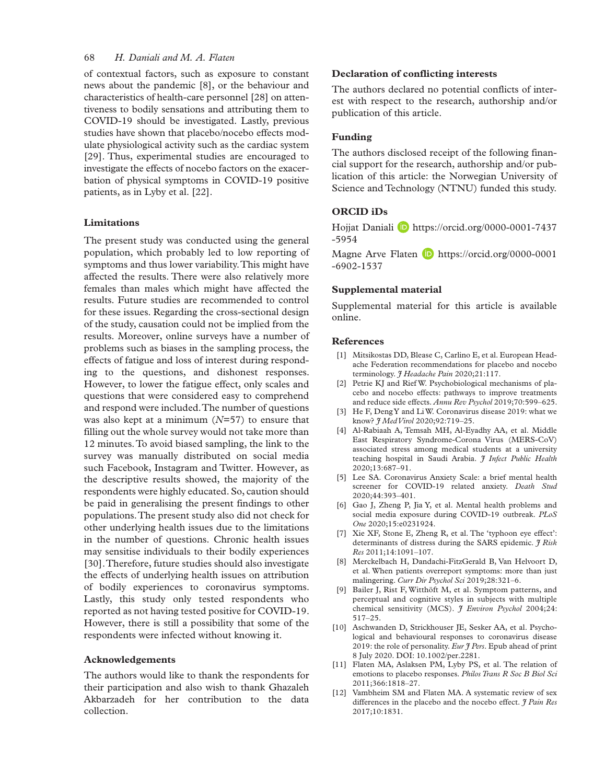## 68 *H. Daniali and M. A. Flaten*

of contextual factors, such as exposure to constant news about the pandemic [8], or the behaviour and characteristics of health-care personnel [28] on attentiveness to bodily sensations and attributing them to COVID-19 should be investigated. Lastly, previous studies have shown that placebo/nocebo effects modulate physiological activity such as the cardiac system [29]. Thus, experimental studies are encouraged to investigate the effects of nocebo factors on the exacerbation of physical symptoms in COVID-19 positive patients, as in Lyby et al. [22].

## **Limitations**

The present study was conducted using the general population, which probably led to low reporting of symptoms and thus lower variability. This might have affected the results. There were also relatively more females than males which might have affected the results. Future studies are recommended to control for these issues. Regarding the cross-sectional design of the study, causation could not be implied from the results. Moreover, online surveys have a number of problems such as biases in the sampling process, the effects of fatigue and loss of interest during responding to the questions, and dishonest responses. However, to lower the fatigue effect, only scales and questions that were considered easy to comprehend and respond were included. The number of questions was also kept at a minimum (*N*=57) to ensure that filling out the whole survey would not take more than 12 minutes. To avoid biased sampling, the link to the survey was manually distributed on social media such Facebook, Instagram and Twitter. However, as the descriptive results showed, the majority of the respondents were highly educated. So, caution should be paid in generalising the present findings to other populations. The present study also did not check for other underlying health issues due to the limitations in the number of questions. Chronic health issues may sensitise individuals to their bodily experiences [30]. Therefore, future studies should also investigate the effects of underlying health issues on attribution of bodily experiences to coronavirus symptoms. Lastly, this study only tested respondents who reported as not having tested positive for COVID-19. However, there is still a possibility that some of the respondents were infected without knowing it.

## **Acknowledgements**

The authors would like to thank the respondents for their participation and also wish to thank Ghazaleh Akbarzadeh for her contribution to the data collection.

## **Declaration of conflicting interests**

The authors declared no potential conflicts of interest with respect to the research, authorship and/or publication of this article.

## **Funding**

The authors disclosed receipt of the following financial support for the research, authorship and/or publication of this article: the Norwegian University of Science and Technology (NTNU) funded this study.

## **ORCID iDs**

Hojjat Daniali D [https://orcid.org/0000-0001-7437](https://orcid.org/0000-0001-7437-5954) [-5954](https://orcid.org/0000-0001-7437-5954)

Magne Arve Flaten **b** [https://orcid.org/0000-0001](https://orcid.org/0000-0001-6902-1537) [-6902-1537](https://orcid.org/0000-0001-6902-1537)

## **Supplemental material**

Supplemental material for this article is available online.

## **References**

- [1] Mitsikostas DD, Blease C, Carlino E, et al. European Headache Federation recommendations for placebo and nocebo terminology. *J Headache Pain* 2020;21:117.
- [2] Petrie KJ and Rief W. Psychobiological mechanisms of placebo and nocebo effects: pathways to improve treatments and reduce side effects. *Annu Rev Psychol* 2019;70:599–625.
- [3] He F, Deng Y and Li W. Coronavirus disease 2019: what we know? *J Med Virol* 2020;92:719–25.
- [4] Al-Rabiaah A, Temsah MH, Al-Eyadhy AA, et al. Middle East Respiratory Syndrome-Corona Virus (MERS-CoV) associated stress among medical students at a university teaching hospital in Saudi Arabia. *J Infect Public Health* 2020;13:687–91.
- [5] Lee SA. Coronavirus Anxiety Scale: a brief mental health screener for COVID-19 related anxiety. *Death Stud* 2020;44:393–401.
- [6] Gao J, Zheng P, Jia Y, et al. Mental health problems and social media exposure during COVID-19 outbreak. *PLoS One* 2020;15:e0231924.
- [7] Xie XF, Stone E, Zheng R, et al. The 'typhoon eye effect': determinants of distress during the SARS epidemic. *J Risk Res* 2011;14:1091–107.
- [8] Merckelbach H, Dandachi-FitzGerald B, Van Helvoort D, et al. When patients overreport symptoms: more than just malingering. *Curr Dir Psychol Sci* 2019;28:321–6.
- [9] Bailer J, Rist F, Witthöft M, et al. Symptom patterns, and perceptual and cognitive styles in subjects with multiple chemical sensitivity (MCS). *J Environ Psychol* 2004;24: 517–25.
- [10] Aschwanden D, Strickhouser JE, Sesker AA, et al. Psychological and behavioural responses to coronavirus disease 2019: the role of personality. *Eur J Pers*. Epub ahead of print 8 July 2020. DOI: 10.1002/per.2281.
- [11] Flaten MA, Aslaksen PM, Lyby PS, et al. The relation of emotions to placebo responses. *Philos Trans R Soc B Biol Sci* 2011;366:1818–27.
- [12] Vambheim SM and Flaten MA. A systematic review of sex differences in the placebo and the nocebo effect. *J Pain Res* 2017;10:1831.